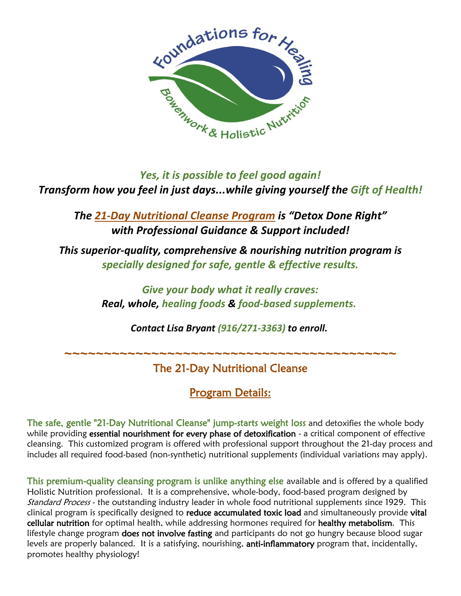

## *Yes, it is possible to feel good again! Transform how you feel in just days...while giving yourself the Gift of Health!*

*The 21-Day Nutritional Cleanse Program is "Detox Done Right" with Professional Guidance & Support included!*

*This superior-quality, comprehensive & nourishing nutrition program is specially designed for safe, gentle & effective results.*

> *Give your body what it really craves: Real, whole, healing foods & food-based supplements.*

> > *Contact Lisa Bryant (916/271-3363) to enroll.*

**~~~~~~~~~~~~~~~~~~~~~~~~~~~~~~~~~~~~~~~~~~**

# The 21-Day Nutritional Cleanse

# Program Details:

The safe, gentle "21-Day Nutritional Cleanse" jump-starts weight loss and detoxifies the whole body while providing essential nourishment for every phase of detoxification - a critical component of effective cleansing. This customized program is offered with professional support throughout the 21-day process and includes all required food-based (non-synthetic) nutritional supplements (individual variations may apply).

This premium-quality cleansing program is unlike anything else available and is offered by a qualified Holistic Nutrition professional. It is a comprehensive, whole-body, food-based program designed by Standard Process - the outstanding industry leader in whole food nutritional supplements since 1929. This clinical program is specifically designed to reduce accumulated toxic load and simultaneously provide vital cellular nutrition for optimal health, while addressing hormones required for healthy metabolism. This lifestyle change program does not involve fasting and participants do not go hungry because blood sugar levels are properly balanced. It is a satisfying, nourishing, anti-inflammatory program that, incidentally, promotes healthy physiology!